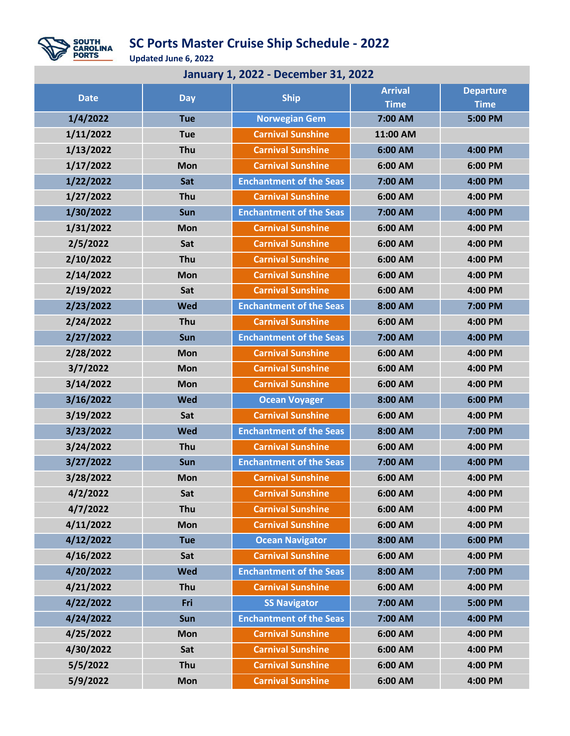

## **SC Ports Master Cruise Ship Schedule - 2022**

**Updated June 6, 2022**

| <b>January 1, 2022 - December 31, 2022</b> |            |                                |                |                  |  |  |  |  |
|--------------------------------------------|------------|--------------------------------|----------------|------------------|--|--|--|--|
| <b>Date</b>                                | <b>Day</b> | <b>Ship</b>                    | <b>Arrival</b> | <b>Departure</b> |  |  |  |  |
|                                            |            |                                | <b>Time</b>    | <b>Time</b>      |  |  |  |  |
| 1/4/2022                                   | <b>Tue</b> | <b>Norwegian Gem</b>           | 7:00 AM        | 5:00 PM          |  |  |  |  |
| 1/11/2022                                  | <b>Tue</b> | <b>Carnival Sunshine</b>       | 11:00 AM       |                  |  |  |  |  |
| 1/13/2022                                  | Thu        | <b>Carnival Sunshine</b>       | 6:00 AM        | 4:00 PM          |  |  |  |  |
| 1/17/2022                                  | Mon        | <b>Carnival Sunshine</b>       | 6:00 AM        | 6:00 PM          |  |  |  |  |
| 1/22/2022                                  | Sat        | <b>Enchantment of the Seas</b> | 7:00 AM        | 4:00 PM          |  |  |  |  |
| 1/27/2022                                  | Thu        | <b>Carnival Sunshine</b>       | 6:00 AM        | 4:00 PM          |  |  |  |  |
| 1/30/2022                                  | Sun        | <b>Enchantment of the Seas</b> | 7:00 AM        | 4:00 PM          |  |  |  |  |
| 1/31/2022                                  | Mon        | <b>Carnival Sunshine</b>       | 6:00 AM        | 4:00 PM          |  |  |  |  |
| 2/5/2022                                   | Sat        | <b>Carnival Sunshine</b>       | 6:00 AM        | 4:00 PM          |  |  |  |  |
| 2/10/2022                                  | Thu        | <b>Carnival Sunshine</b>       | 6:00 AM        | 4:00 PM          |  |  |  |  |
| 2/14/2022                                  | Mon        | <b>Carnival Sunshine</b>       | 6:00 AM        | 4:00 PM          |  |  |  |  |
| 2/19/2022                                  | Sat        | <b>Carnival Sunshine</b>       | 6:00 AM        | 4:00 PM          |  |  |  |  |
| 2/23/2022                                  | <b>Wed</b> | <b>Enchantment of the Seas</b> | 8:00 AM        | 7:00 PM          |  |  |  |  |
| 2/24/2022                                  | Thu        | <b>Carnival Sunshine</b>       | 6:00 AM        | 4:00 PM          |  |  |  |  |
| 2/27/2022                                  | Sun        | <b>Enchantment of the Seas</b> | 7:00 AM        | 4:00 PM          |  |  |  |  |
| 2/28/2022                                  | Mon        | <b>Carnival Sunshine</b>       | 6:00 AM        | 4:00 PM          |  |  |  |  |
| 3/7/2022                                   | Mon        | <b>Carnival Sunshine</b>       | 6:00 AM        | 4:00 PM          |  |  |  |  |
| 3/14/2022                                  | Mon        | <b>Carnival Sunshine</b>       | 6:00 AM        | 4:00 PM          |  |  |  |  |
| 3/16/2022                                  | <b>Wed</b> | <b>Ocean Voyager</b>           | 8:00 AM        | 6:00 PM          |  |  |  |  |
| 3/19/2022                                  | Sat        | <b>Carnival Sunshine</b>       | 6:00 AM        | 4:00 PM          |  |  |  |  |
| 3/23/2022                                  | <b>Wed</b> | <b>Enchantment of the Seas</b> | 8:00 AM        | 7:00 PM          |  |  |  |  |
| 3/24/2022                                  | Thu        | <b>Carnival Sunshine</b>       | 6:00 AM        | 4:00 PM          |  |  |  |  |
| 3/27/2022                                  | Sun        | <b>Enchantment of the Seas</b> | 7:00 AM        | 4:00 PM          |  |  |  |  |
| 3/28/2022                                  | <b>Mon</b> | <b>Carnival Sunshine</b>       | 6:00 AM        | 4:00 PM          |  |  |  |  |
| 4/2/2022                                   | Sat        | <b>Carnival Sunshine</b>       | 6:00 AM        | 4:00 PM          |  |  |  |  |
| 4/7/2022                                   | Thu        | <b>Carnival Sunshine</b>       | 6:00 AM        | 4:00 PM          |  |  |  |  |
| 4/11/2022                                  | <b>Mon</b> | <b>Carnival Sunshine</b>       | 6:00 AM        | 4:00 PM          |  |  |  |  |
| 4/12/2022                                  | <b>Tue</b> | <b>Ocean Navigator</b>         | 8:00 AM        | 6:00 PM          |  |  |  |  |
| 4/16/2022                                  | Sat        | <b>Carnival Sunshine</b>       | 6:00 AM        | 4:00 PM          |  |  |  |  |
| 4/20/2022                                  | <b>Wed</b> | <b>Enchantment of the Seas</b> | 8:00 AM        | 7:00 PM          |  |  |  |  |
| 4/21/2022                                  | Thu        | <b>Carnival Sunshine</b>       | 6:00 AM        | 4:00 PM          |  |  |  |  |
| 4/22/2022                                  | Fri        | <b>SS Navigator</b>            | 7:00 AM        | 5:00 PM          |  |  |  |  |
| 4/24/2022                                  | Sun        | <b>Enchantment of the Seas</b> | 7:00 AM        | 4:00 PM          |  |  |  |  |
| 4/25/2022                                  | <b>Mon</b> | <b>Carnival Sunshine</b>       | 6:00 AM        | 4:00 PM          |  |  |  |  |
| 4/30/2022                                  | Sat        | <b>Carnival Sunshine</b>       | 6:00 AM        | 4:00 PM          |  |  |  |  |
| 5/5/2022                                   | Thu        | <b>Carnival Sunshine</b>       | 6:00 AM        | 4:00 PM          |  |  |  |  |
| 5/9/2022                                   | <b>Mon</b> | <b>Carnival Sunshine</b>       | 6:00 AM        | 4:00 PM          |  |  |  |  |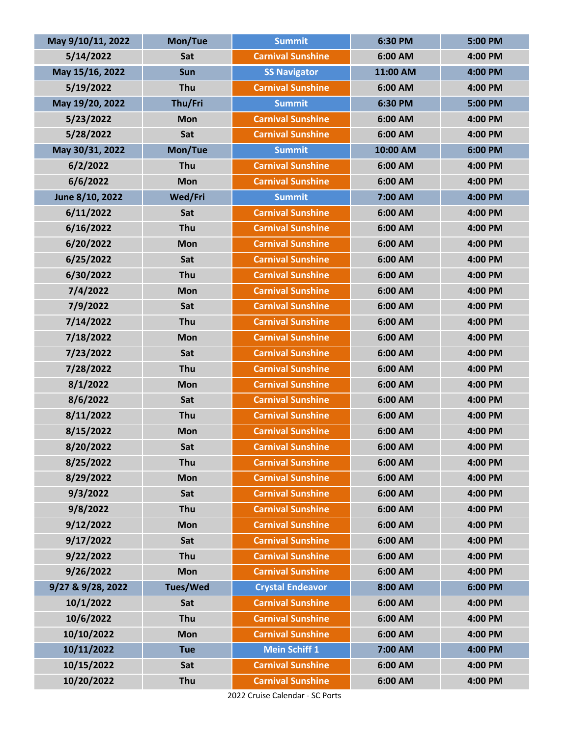| May 9/10/11, 2022 | Mon/Tue         | <b>Summit</b>            | 6:30 PM  | 5:00 PM |
|-------------------|-----------------|--------------------------|----------|---------|
| 5/14/2022         | Sat             | <b>Carnival Sunshine</b> | 6:00 AM  | 4:00 PM |
| May 15/16, 2022   | Sun             | <b>SS Navigator</b>      | 11:00 AM | 4:00 PM |
| 5/19/2022         | Thu             | <b>Carnival Sunshine</b> | 6:00 AM  | 4:00 PM |
| May 19/20, 2022   | Thu/Fri         | <b>Summit</b>            | 6:30 PM  | 5:00 PM |
| 5/23/2022         | <b>Mon</b>      | <b>Carnival Sunshine</b> | 6:00 AM  | 4:00 PM |
| 5/28/2022         | Sat             | <b>Carnival Sunshine</b> | 6:00 AM  | 4:00 PM |
| May 30/31, 2022   | Mon/Tue         | <b>Summit</b>            | 10:00 AM | 6:00 PM |
| 6/2/2022          | Thu             | <b>Carnival Sunshine</b> | 6:00 AM  | 4:00 PM |
| 6/6/2022          | <b>Mon</b>      | <b>Carnival Sunshine</b> | 6:00 AM  | 4:00 PM |
| June 8/10, 2022   | Wed/Fri         | <b>Summit</b>            | 7:00 AM  | 4:00 PM |
| 6/11/2022         | Sat             | <b>Carnival Sunshine</b> | 6:00 AM  | 4:00 PM |
| 6/16/2022         | Thu             | <b>Carnival Sunshine</b> | 6:00 AM  | 4:00 PM |
| 6/20/2022         | <b>Mon</b>      | <b>Carnival Sunshine</b> | 6:00 AM  | 4:00 PM |
| 6/25/2022         | Sat             | <b>Carnival Sunshine</b> | 6:00 AM  | 4:00 PM |
| 6/30/2022         | Thu             | <b>Carnival Sunshine</b> | 6:00 AM  | 4:00 PM |
| 7/4/2022          | <b>Mon</b>      | <b>Carnival Sunshine</b> | 6:00 AM  | 4:00 PM |
| 7/9/2022          | Sat             | <b>Carnival Sunshine</b> | 6:00 AM  | 4:00 PM |
| 7/14/2022         | Thu             | <b>Carnival Sunshine</b> | 6:00 AM  | 4:00 PM |
| 7/18/2022         | <b>Mon</b>      | <b>Carnival Sunshine</b> | 6:00 AM  | 4:00 PM |
| 7/23/2022         | Sat             | <b>Carnival Sunshine</b> | 6:00 AM  | 4:00 PM |
| 7/28/2022         | Thu             | <b>Carnival Sunshine</b> | 6:00 AM  | 4:00 PM |
| 8/1/2022          | <b>Mon</b>      | <b>Carnival Sunshine</b> | 6:00 AM  | 4:00 PM |
| 8/6/2022          | Sat             | <b>Carnival Sunshine</b> | 6:00 AM  | 4:00 PM |
| 8/11/2022         | Thu             | <b>Carnival Sunshine</b> | 6:00 AM  | 4:00 PM |
| 8/15/2022         | <b>Mon</b>      | <b>Carnival Sunshine</b> | 6:00 AM  | 4:00 PM |
| 8/20/2022         | Sat             | <b>Carnival Sunshine</b> | 6:00 AM  | 4:00 PM |
| 8/25/2022         | Thu             | <b>Carnival Sunshine</b> | 6:00 AM  | 4:00 PM |
| 8/29/2022         | <b>Mon</b>      | <b>Carnival Sunshine</b> | 6:00 AM  | 4:00 PM |
| 9/3/2022          | Sat             | <b>Carnival Sunshine</b> | 6:00 AM  | 4:00 PM |
| 9/8/2022          | Thu             | <b>Carnival Sunshine</b> | 6:00 AM  | 4:00 PM |
| 9/12/2022         | <b>Mon</b>      | <b>Carnival Sunshine</b> | 6:00 AM  | 4:00 PM |
| 9/17/2022         | Sat             | <b>Carnival Sunshine</b> | 6:00 AM  | 4:00 PM |
| 9/22/2022         | Thu             | <b>Carnival Sunshine</b> | 6:00 AM  | 4:00 PM |
| 9/26/2022         | <b>Mon</b>      | <b>Carnival Sunshine</b> | 6:00 AM  | 4:00 PM |
| 9/27 & 9/28, 2022 | <b>Tues/Wed</b> | <b>Crystal Endeavor</b>  | 8:00 AM  | 6:00 PM |
| 10/1/2022         | Sat             | <b>Carnival Sunshine</b> | 6:00 AM  | 4:00 PM |
| 10/6/2022         | Thu             | <b>Carnival Sunshine</b> | 6:00 AM  | 4:00 PM |
| 10/10/2022        | <b>Mon</b>      | <b>Carnival Sunshine</b> | 6:00 AM  | 4:00 PM |
| 10/11/2022        | <b>Tue</b>      | <b>Mein Schiff 1</b>     | 7:00 AM  | 4:00 PM |
| 10/15/2022        | Sat             | <b>Carnival Sunshine</b> | 6:00 AM  | 4:00 PM |
| 10/20/2022        | Thu             | <b>Carnival Sunshine</b> | 6:00 AM  | 4:00 PM |

2022 Cruise Calendar - SC Ports